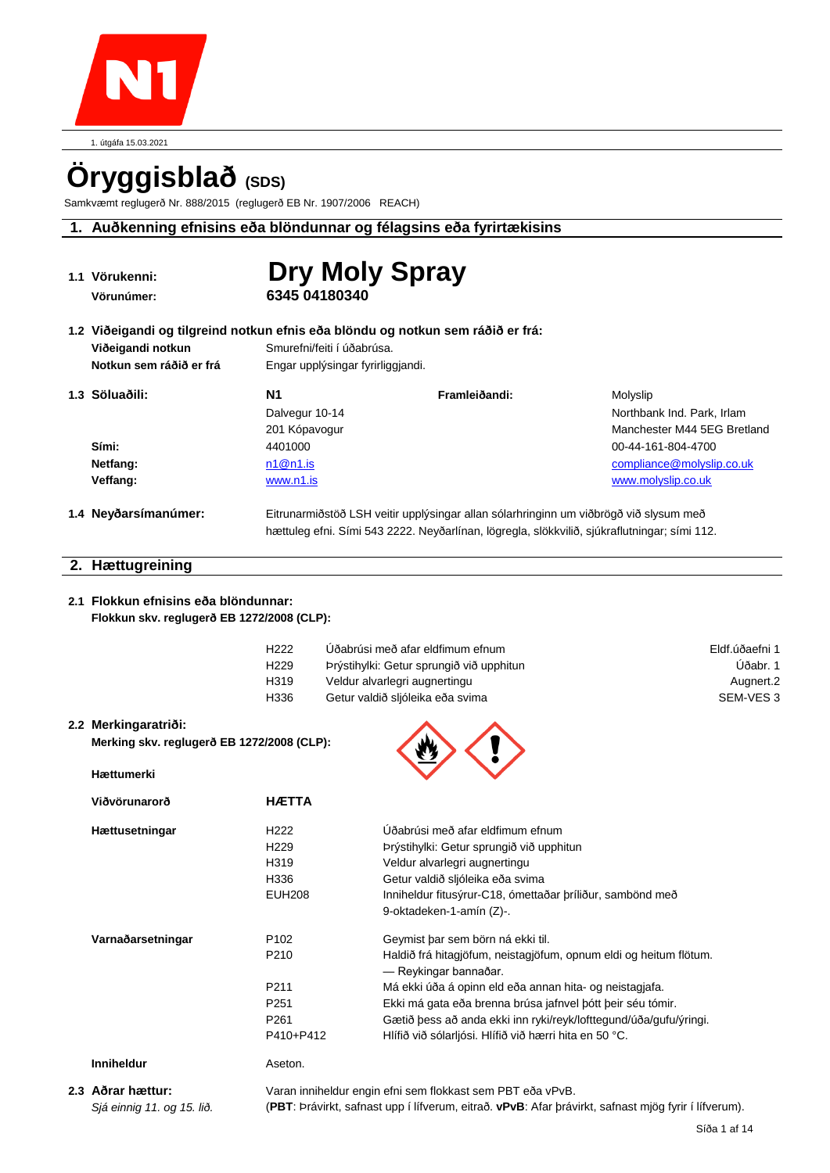

1. útgáfa 15.03.2021

# **Öryggisblað (SDS)**

Samkvæmt reglugerð Nr. 888/2015 (reglugerð EB Nr. 1907/2006 REACH)

#### **1. Auðkenning efnisins eða blöndunnar og félagsins eða fyrirtækisins**

| 1.1 Vörukenni:<br>Vörunúmer:                                                       | 6345 04180340                                                         | <b>Dry Moly Spray</b>                                                                                                                                                                                                                                                                                                         |                                                                       |
|------------------------------------------------------------------------------------|-----------------------------------------------------------------------|-------------------------------------------------------------------------------------------------------------------------------------------------------------------------------------------------------------------------------------------------------------------------------------------------------------------------------|-----------------------------------------------------------------------|
| Viðeigandi notkun<br>Notkun sem ráðið er frá                                       |                                                                       | 1.2 Viðeigandi og tilgreind notkun efnis eða blöndu og notkun sem ráðið er frá:<br>Smurefni/feiti í úðabrúsa.<br>Engar upplýsingar fyrirliggjandi.                                                                                                                                                                            |                                                                       |
| 1.3 Söluaðili:                                                                     | <b>N1</b><br>Dalvegur 10-14<br>201 Kópavogur<br>4401000               | Framleiðandi:                                                                                                                                                                                                                                                                                                                 | Molyslip<br>Northbank Ind. Park, Irlam<br>Manchester M44 5EG Bretland |
| Sími:                                                                              |                                                                       |                                                                                                                                                                                                                                                                                                                               | 00-44-161-804-4700                                                    |
| Netfang:                                                                           | n1@n1.is                                                              |                                                                                                                                                                                                                                                                                                                               | compliance@molyslip.co.uk                                             |
| Veffang:                                                                           | www.n1.is                                                             |                                                                                                                                                                                                                                                                                                                               | www.molyslip.co.uk                                                    |
| 1.4 Neyðarsímanúmer:                                                               |                                                                       | Eitrunarmiðstöð LSH veitir upplýsingar allan sólarhringinn um viðbrögð við slysum með<br>hættuleg efni. Sími 543 2222. Neyðarlínan, lögregla, slökkvilið, sjúkraflutningar; sími 112.                                                                                                                                         |                                                                       |
| 2. Hættugreining                                                                   |                                                                       |                                                                                                                                                                                                                                                                                                                               |                                                                       |
| 2.1 Flokkun efnisins eða blöndunnar:<br>Flokkun skv. reglugerð EB 1272/2008 (CLP): | H <sub>222</sub><br>H <sub>229</sub><br>H319<br>H336                  | Úðabrúsi með afar eldfimum efnum<br>Þrýstihylki: Getur sprungið við upphitun<br>Veldur alvarlegri augnertingu<br>Getur valdið sljóleika eða svima                                                                                                                                                                             | Eldf.úðaefni 1<br>Úðabr. 1<br>Augnert.2<br>SEM-VES 3                  |
| 2.2 Merkingaratriði:                                                               |                                                                       |                                                                                                                                                                                                                                                                                                                               |                                                                       |
| Merking skv. reglugerð EB 1272/2008 (CLP):<br>Hættumerki                           |                                                                       |                                                                                                                                                                                                                                                                                                                               |                                                                       |
| Viðvörunarorð                                                                      | <b>HÆTTA</b>                                                          |                                                                                                                                                                                                                                                                                                                               |                                                                       |
| Hættusetningar                                                                     | H <sub>222</sub><br>H <sub>229</sub><br>H319<br>H336<br><b>EUH208</b> | Úðabrúsi með afar eldfimum efnum<br>Þrýstihylki: Getur sprungið við upphitun<br>Veldur alvarlegri augnertingu<br>Getur valdið sljóleika eða svima<br>Inniheldur fitusýrur-C18, ómettaðar þríliður, sambönd með<br>9-oktadeken-1-amín (Z)-.                                                                                    |                                                                       |
| Varnaðarsetningar                                                                  | P102<br>P210<br>P211<br>P251<br>P261                                  | Geymist þar sem börn ná ekki til.<br>Haldið frá hitagjöfum, neistagjöfum, opnum eldi og heitum flötum.<br>- Reykingar bannaðar.<br>Má ekki úða á opinn eld eða annan hita- og neistagjafa.<br>Ekki má gata eða brenna brúsa jafnvel þótt þeir séu tómir.<br>Gætið þess að anda ekki inn ryki/reyk/lofttegund/úða/gufu/ýringi. |                                                                       |

P410+P412 Hlífið við sólarljósi. Hlífið við hærri hita en 50 °C.

#### **Inniheldur Aseton.**

**2.3 Aðrar hættur:** Varan inniheldur engin efni sem flokkast sem PBT eða vPvB.

*Sjá einnig 11. og 15. lið.* (**PBT**: Þrávirkt, safnast upp í lífverum, eitrað. **vPvB**: Afar þrávirkt, safnast mjög fyrir í lífverum).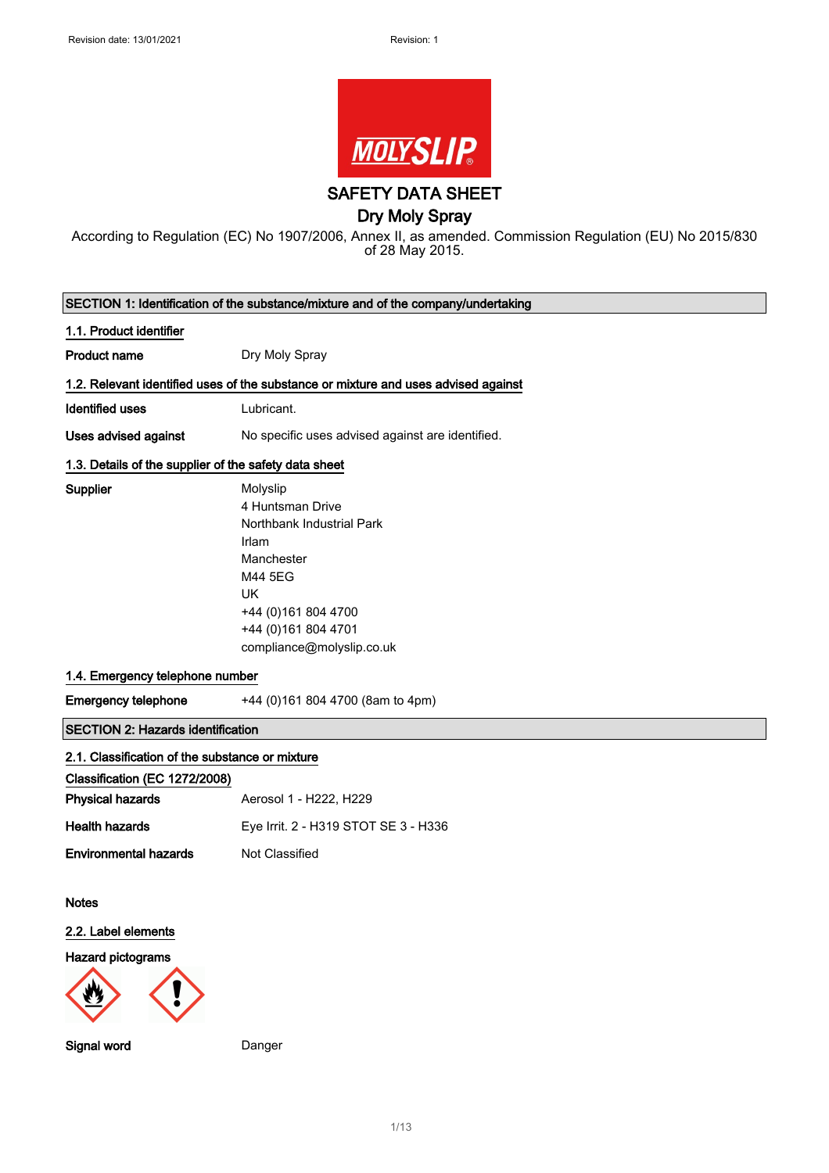

According to Regulation (EC) No 1907/2006, Annex II, as amended. Commission Regulation (EU) No 2015/830 of 28 May 2015.

| SECTION 1: Identification of the substance/mixture and of the company/undertaking |                                                                                                                                                                                |  |  |  |
|-----------------------------------------------------------------------------------|--------------------------------------------------------------------------------------------------------------------------------------------------------------------------------|--|--|--|
| 1.1. Product identifier                                                           |                                                                                                                                                                                |  |  |  |
| <b>Product name</b>                                                               | Dry Moly Spray                                                                                                                                                                 |  |  |  |
|                                                                                   | 1.2. Relevant identified uses of the substance or mixture and uses advised against                                                                                             |  |  |  |
| <b>Identified uses</b>                                                            | Lubricant.                                                                                                                                                                     |  |  |  |
| <b>Uses advised against</b>                                                       | No specific uses advised against are identified.                                                                                                                               |  |  |  |
| 1.3. Details of the supplier of the safety data sheet                             |                                                                                                                                                                                |  |  |  |
| Supplier                                                                          | Molyslip<br>4 Huntsman Drive<br>Northbank Industrial Park<br>Irlam<br>Manchester<br>M44 5EG<br>UK<br>+44 (0) 161 804 4700<br>+44 (0) 161 804 4701<br>compliance@molyslip.co.uk |  |  |  |
| 1.4. Emergency telephone number                                                   |                                                                                                                                                                                |  |  |  |
| <b>Emergency telephone</b>                                                        | +44 (0)161 804 4700 (8am to 4pm)                                                                                                                                               |  |  |  |
| <b>SECTION 2: Hazards identification</b>                                          |                                                                                                                                                                                |  |  |  |
| 2.1. Classification of the substance or mixture<br>Classification (EC 1272/2008)  |                                                                                                                                                                                |  |  |  |
| <b>Physical hazards</b>                                                           | Aerosol 1 - H222, H229                                                                                                                                                         |  |  |  |
| <b>Health hazards</b>                                                             | Eye Irrit. 2 - H319 STOT SE 3 - H336                                                                                                                                           |  |  |  |
| <b>Environmental hazards</b>                                                      | Not Classified                                                                                                                                                                 |  |  |  |
| <b>Notes</b><br>2.2. Label elements<br><b>Hazard pictograms</b>                   |                                                                                                                                                                                |  |  |  |
| Signal word                                                                       | Danger                                                                                                                                                                         |  |  |  |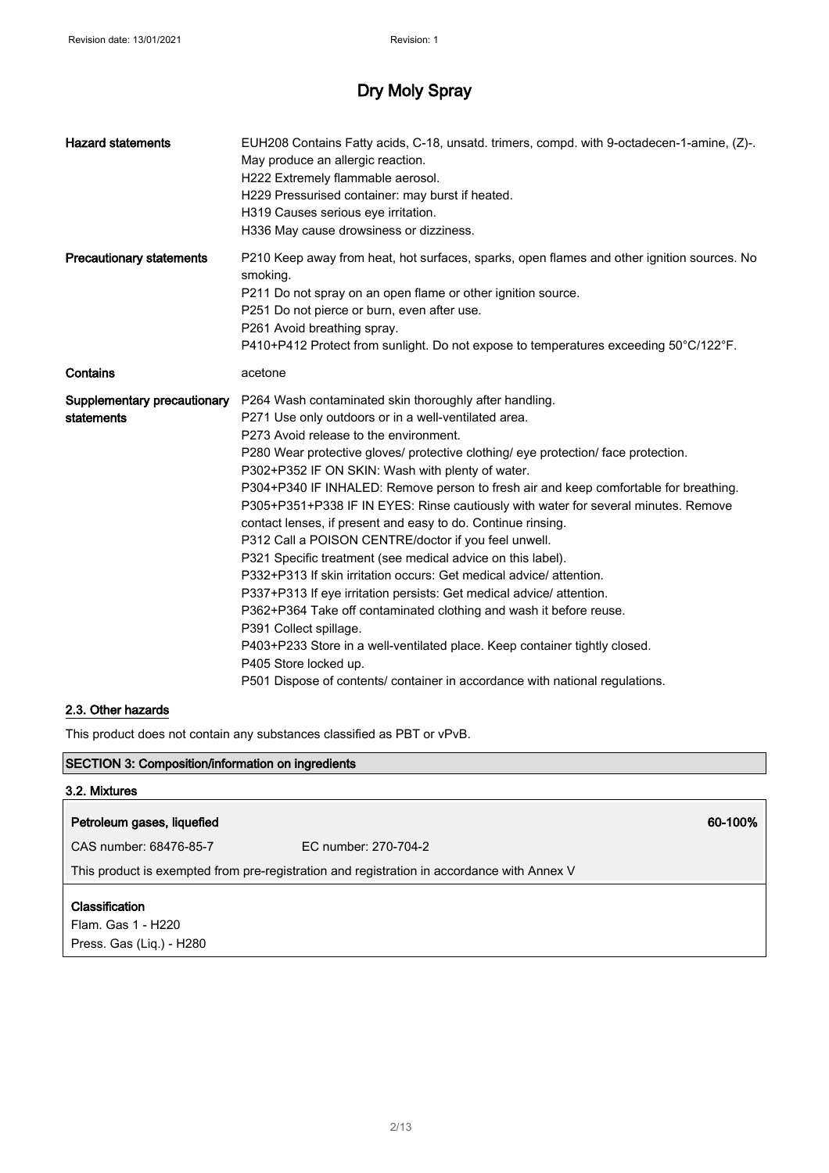| <b>Hazard statements</b>                  | EUH208 Contains Fatty acids, C-18, unsatd. trimers, compd. with 9-octadecen-1-amine, (Z)-.<br>May produce an allergic reaction.<br>H222 Extremely flammable aerosol.<br>H229 Pressurised container: may burst if heated.<br>H319 Causes serious eye irritation.<br>H336 May cause drowsiness or dizziness.                                                                                                                                                                                                                                                                                                                                                                                                                                                                                                                                                                                                                                                                                                                                                                                                   |
|-------------------------------------------|--------------------------------------------------------------------------------------------------------------------------------------------------------------------------------------------------------------------------------------------------------------------------------------------------------------------------------------------------------------------------------------------------------------------------------------------------------------------------------------------------------------------------------------------------------------------------------------------------------------------------------------------------------------------------------------------------------------------------------------------------------------------------------------------------------------------------------------------------------------------------------------------------------------------------------------------------------------------------------------------------------------------------------------------------------------------------------------------------------------|
| <b>Precautionary statements</b>           | P210 Keep away from heat, hot surfaces, sparks, open flames and other ignition sources. No<br>smoking.<br>P211 Do not spray on an open flame or other ignition source.<br>P251 Do not pierce or burn, even after use.<br>P261 Avoid breathing spray.<br>P410+P412 Protect from sunlight. Do not expose to temperatures exceeding 50°C/122°F.                                                                                                                                                                                                                                                                                                                                                                                                                                                                                                                                                                                                                                                                                                                                                                 |
| Contains                                  | acetone                                                                                                                                                                                                                                                                                                                                                                                                                                                                                                                                                                                                                                                                                                                                                                                                                                                                                                                                                                                                                                                                                                      |
| Supplementary precautionary<br>statements | P264 Wash contaminated skin thoroughly after handling.<br>P271 Use only outdoors or in a well-ventilated area.<br>P273 Avoid release to the environment.<br>P280 Wear protective gloves/ protective clothing/ eye protection/ face protection.<br>P302+P352 IF ON SKIN: Wash with plenty of water.<br>P304+P340 IF INHALED: Remove person to fresh air and keep comfortable for breathing.<br>P305+P351+P338 IF IN EYES: Rinse cautiously with water for several minutes. Remove<br>contact lenses, if present and easy to do. Continue rinsing.<br>P312 Call a POISON CENTRE/doctor if you feel unwell.<br>P321 Specific treatment (see medical advice on this label).<br>P332+P313 If skin irritation occurs: Get medical advice/attention.<br>P337+P313 If eye irritation persists: Get medical advice/ attention.<br>P362+P364 Take off contaminated clothing and wash it before reuse.<br>P391 Collect spillage.<br>P403+P233 Store in a well-ventilated place. Keep container tightly closed.<br>P405 Store locked up.<br>P501 Dispose of contents/ container in accordance with national regulations. |

#### 2.3. Other hazards

This product does not contain any substances classified as PBT or vPvB.

| <b>SECTION 3: Composition/information on ingredients</b>         |                                                                                            |         |  |
|------------------------------------------------------------------|--------------------------------------------------------------------------------------------|---------|--|
| 3.2. Mixtures                                                    |                                                                                            |         |  |
| Petroleum gases, liquefied                                       |                                                                                            | 60-100% |  |
| CAS number: 68476-85-7                                           | FC number: 270-704-2                                                                       |         |  |
|                                                                  | This product is exempted from pre-registration and registration in accordance with Annex V |         |  |
| Classification<br>Flam. Gas 1 - H220<br>Press. Gas (Liq.) - H280 |                                                                                            |         |  |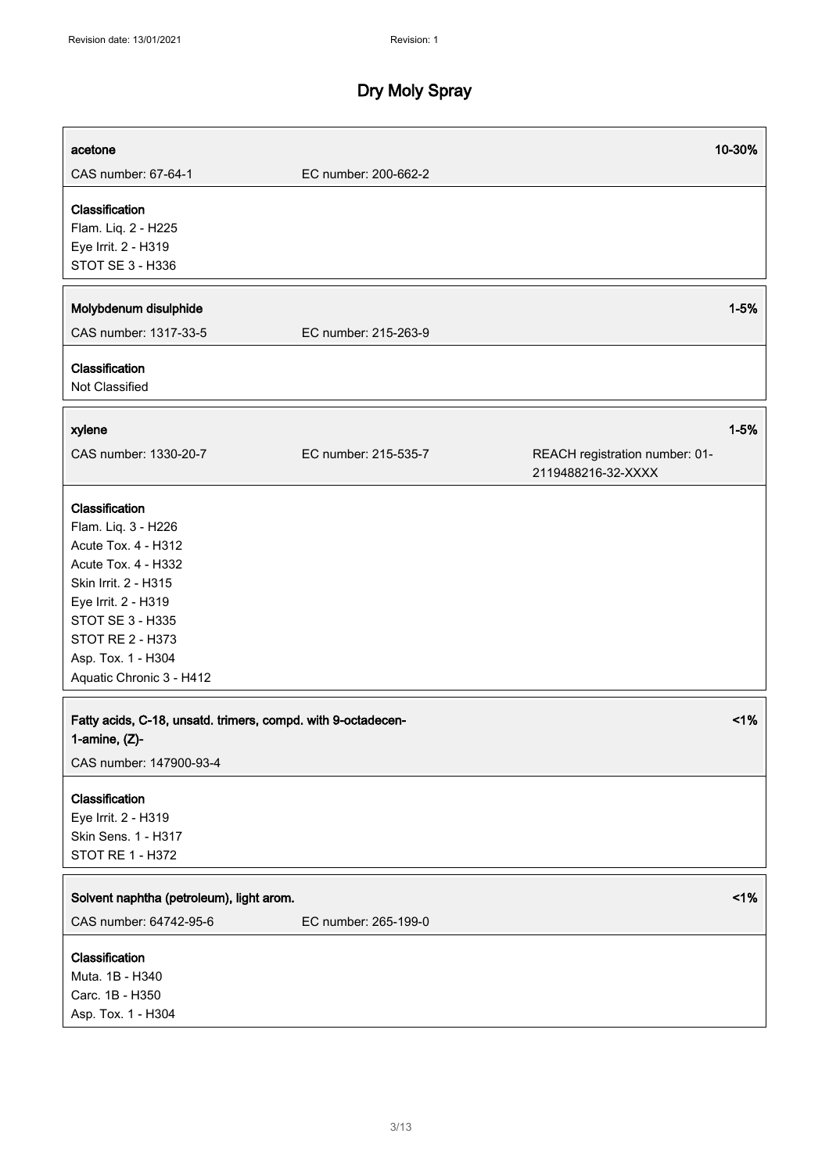| acetone                                                                                                                                                                                                                      |                      | 10-30%                                               |
|------------------------------------------------------------------------------------------------------------------------------------------------------------------------------------------------------------------------------|----------------------|------------------------------------------------------|
| CAS number: 67-64-1                                                                                                                                                                                                          | EC number: 200-662-2 |                                                      |
| Classification<br>Flam. Liq. 2 - H225<br>Eye Irrit. 2 - H319<br>STOT SE 3 - H336                                                                                                                                             |                      |                                                      |
| Molybdenum disulphide                                                                                                                                                                                                        |                      | $1 - 5%$                                             |
| CAS number: 1317-33-5                                                                                                                                                                                                        | EC number: 215-263-9 |                                                      |
| Classification<br>Not Classified                                                                                                                                                                                             |                      |                                                      |
| xylene                                                                                                                                                                                                                       |                      | $1 - 5%$                                             |
| CAS number: 1330-20-7                                                                                                                                                                                                        | EC number: 215-535-7 | REACH registration number: 01-<br>2119488216-32-XXXX |
| Classification<br>Flam. Liq. 3 - H226<br>Acute Tox. 4 - H312<br>Acute Tox. 4 - H332<br>Skin Irrit. 2 - H315<br>Eye Irrit. 2 - H319<br>STOT SE 3 - H335<br>STOT RE 2 - H373<br>Asp. Tox. 1 - H304<br>Aquatic Chronic 3 - H412 |                      |                                                      |
| Fatty acids, C-18, unsatd. trimers, compd. with 9-octadecen-<br>1-amine, $(Z)$ -<br>CAS number: 147900-93-4                                                                                                                  |                      | 1%                                                   |
| Classification<br>Eye Irrit. 2 - H319<br>Skin Sens. 1 - H317<br>STOT RE 1 - H372                                                                                                                                             |                      |                                                      |
| Solvent naphtha (petroleum), light arom.                                                                                                                                                                                     |                      | 1%                                                   |
| CAS number: 64742-95-6                                                                                                                                                                                                       | EC number: 265-199-0 |                                                      |
| Classification<br>Muta. 1B - H340<br>Carc. 1B - H350<br>Asp. Tox. 1 - H304                                                                                                                                                   |                      |                                                      |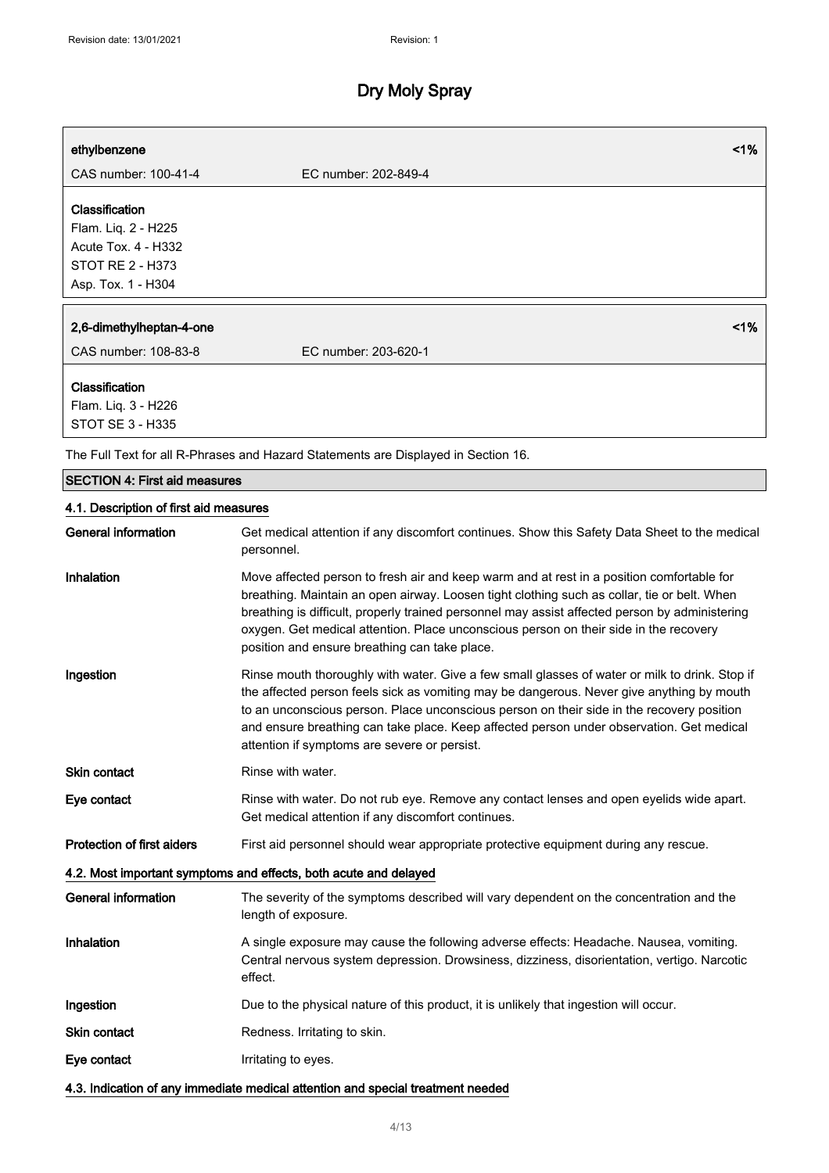| ethylbenzene                                                                       |                      | $1\%$ |  |
|------------------------------------------------------------------------------------|----------------------|-------|--|
| CAS number: 100-41-4                                                               | EC number: 202-849-4 |       |  |
| Classification                                                                     |                      |       |  |
| Flam. Liq. 2 - H225                                                                |                      |       |  |
| Acute Tox. 4 - H332                                                                |                      |       |  |
| STOT RE 2 - H373                                                                   |                      |       |  |
| Asp. Tox. 1 - H304                                                                 |                      |       |  |
| 2,6-dimethylheptan-4-one                                                           |                      | 1%    |  |
|                                                                                    |                      |       |  |
| CAS number: 108-83-8                                                               | EC number: 203-620-1 |       |  |
| <b>Classification</b><br>Flam. Liq. 3 - H226<br>STOT SE 3 - H335                   |                      |       |  |
| The Full Text for all R-Phrases and Hazard Statements are Displayed in Section 16. |                      |       |  |

| <b>SECTION 4: First aid measures</b>                             |                                                                                                                                                                                                                                                                                                                                                                                                                                      |  |  |  |
|------------------------------------------------------------------|--------------------------------------------------------------------------------------------------------------------------------------------------------------------------------------------------------------------------------------------------------------------------------------------------------------------------------------------------------------------------------------------------------------------------------------|--|--|--|
| 4.1. Description of first aid measures                           |                                                                                                                                                                                                                                                                                                                                                                                                                                      |  |  |  |
| <b>General information</b>                                       | Get medical attention if any discomfort continues. Show this Safety Data Sheet to the medical<br>personnel.                                                                                                                                                                                                                                                                                                                          |  |  |  |
| <b>Inhalation</b>                                                | Move affected person to fresh air and keep warm and at rest in a position comfortable for<br>breathing. Maintain an open airway. Loosen tight clothing such as collar, tie or belt. When<br>breathing is difficult, properly trained personnel may assist affected person by administering<br>oxygen. Get medical attention. Place unconscious person on their side in the recovery<br>position and ensure breathing can take place. |  |  |  |
| Ingestion                                                        | Rinse mouth thoroughly with water. Give a few small glasses of water or milk to drink. Stop if<br>the affected person feels sick as vomiting may be dangerous. Never give anything by mouth<br>to an unconscious person. Place unconscious person on their side in the recovery position<br>and ensure breathing can take place. Keep affected person under observation. Get medical<br>attention if symptoms are severe or persist. |  |  |  |
| <b>Skin contact</b>                                              | Rinse with water.                                                                                                                                                                                                                                                                                                                                                                                                                    |  |  |  |
| Eye contact                                                      | Rinse with water. Do not rub eye. Remove any contact lenses and open eyelids wide apart.<br>Get medical attention if any discomfort continues.                                                                                                                                                                                                                                                                                       |  |  |  |
| <b>Protection of first aiders</b>                                | First aid personnel should wear appropriate protective equipment during any rescue.                                                                                                                                                                                                                                                                                                                                                  |  |  |  |
| 4.2. Most important symptoms and effects, both acute and delayed |                                                                                                                                                                                                                                                                                                                                                                                                                                      |  |  |  |
| General information                                              | The severity of the symptoms described will vary dependent on the concentration and the<br>length of exposure.                                                                                                                                                                                                                                                                                                                       |  |  |  |
| Inhalation                                                       | A single exposure may cause the following adverse effects: Headache. Nausea, vomiting.<br>Central nervous system depression. Drowsiness, dizziness, disorientation, vertigo. Narcotic<br>effect.                                                                                                                                                                                                                                     |  |  |  |
| Ingestion                                                        | Due to the physical nature of this product, it is unlikely that ingestion will occur.                                                                                                                                                                                                                                                                                                                                                |  |  |  |
| Skin contact                                                     | Redness. Irritating to skin.                                                                                                                                                                                                                                                                                                                                                                                                         |  |  |  |
| Eye contact                                                      | Irritating to eyes.                                                                                                                                                                                                                                                                                                                                                                                                                  |  |  |  |

4.3. Indication of any immediate medical attention and special treatment needed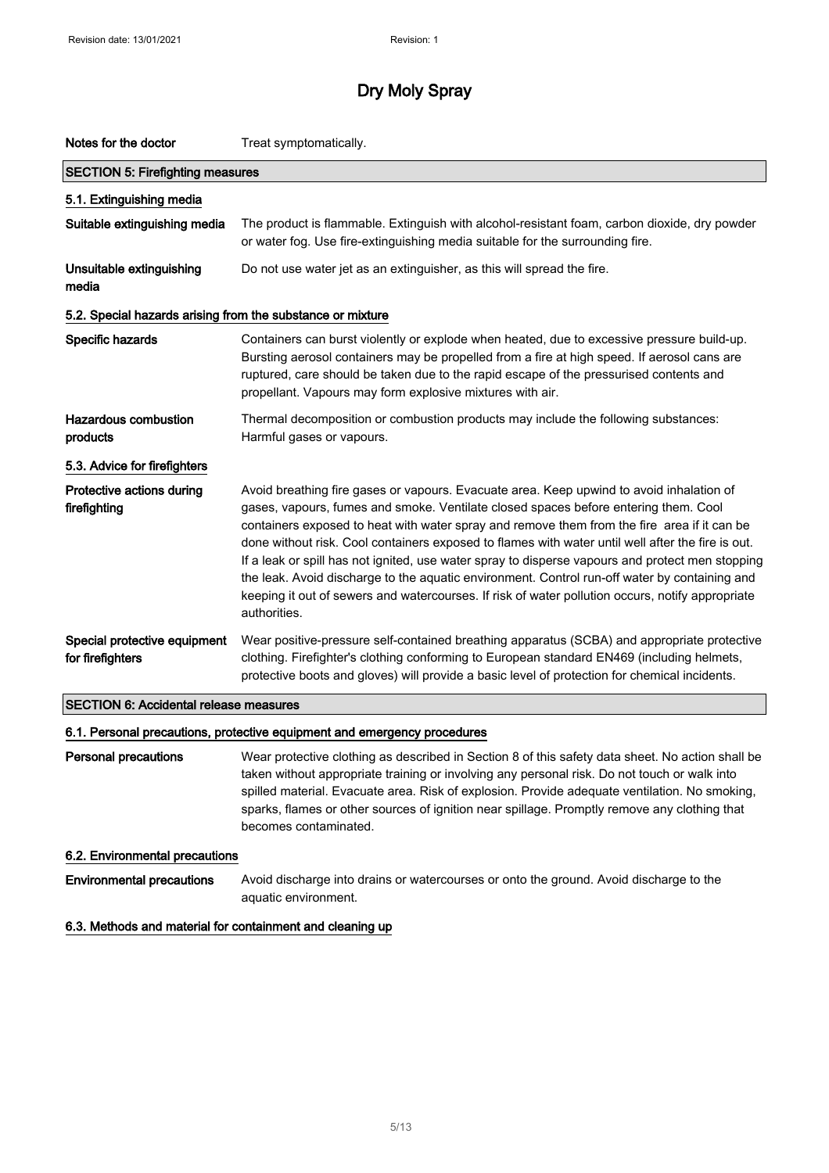| Notes for the doctor<br>Treat symptomatically.             |                                                                                                                                                                                                                                                                                                                                                                                                                                                                                                                                                                                                                                                                                                              |  |  |  |  |
|------------------------------------------------------------|--------------------------------------------------------------------------------------------------------------------------------------------------------------------------------------------------------------------------------------------------------------------------------------------------------------------------------------------------------------------------------------------------------------------------------------------------------------------------------------------------------------------------------------------------------------------------------------------------------------------------------------------------------------------------------------------------------------|--|--|--|--|
| <b>SECTION 5: Firefighting measures</b>                    |                                                                                                                                                                                                                                                                                                                                                                                                                                                                                                                                                                                                                                                                                                              |  |  |  |  |
| 5.1. Extinguishing media                                   |                                                                                                                                                                                                                                                                                                                                                                                                                                                                                                                                                                                                                                                                                                              |  |  |  |  |
| Suitable extinguishing media                               | The product is flammable. Extinguish with alcohol-resistant foam, carbon dioxide, dry powder<br>or water fog. Use fire-extinguishing media suitable for the surrounding fire.                                                                                                                                                                                                                                                                                                                                                                                                                                                                                                                                |  |  |  |  |
| Unsuitable extinguishing<br>media                          | Do not use water jet as an extinguisher, as this will spread the fire.                                                                                                                                                                                                                                                                                                                                                                                                                                                                                                                                                                                                                                       |  |  |  |  |
| 5.2. Special hazards arising from the substance or mixture |                                                                                                                                                                                                                                                                                                                                                                                                                                                                                                                                                                                                                                                                                                              |  |  |  |  |
| Specific hazards                                           | Containers can burst violently or explode when heated, due to excessive pressure build-up.<br>Bursting aerosol containers may be propelled from a fire at high speed. If aerosol cans are<br>ruptured, care should be taken due to the rapid escape of the pressurised contents and<br>propellant. Vapours may form explosive mixtures with air.                                                                                                                                                                                                                                                                                                                                                             |  |  |  |  |
| <b>Hazardous combustion</b><br>products                    | Thermal decomposition or combustion products may include the following substances:<br>Harmful gases or vapours.                                                                                                                                                                                                                                                                                                                                                                                                                                                                                                                                                                                              |  |  |  |  |
| 5.3. Advice for firefighters                               |                                                                                                                                                                                                                                                                                                                                                                                                                                                                                                                                                                                                                                                                                                              |  |  |  |  |
| Protective actions during<br>firefighting                  | Avoid breathing fire gases or vapours. Evacuate area. Keep upwind to avoid inhalation of<br>gases, vapours, fumes and smoke. Ventilate closed spaces before entering them. Cool<br>containers exposed to heat with water spray and remove them from the fire area if it can be<br>done without risk. Cool containers exposed to flames with water until well after the fire is out.<br>If a leak or spill has not ignited, use water spray to disperse vapours and protect men stopping<br>the leak. Avoid discharge to the aquatic environment. Control run-off water by containing and<br>keeping it out of sewers and watercourses. If risk of water pollution occurs, notify appropriate<br>authorities. |  |  |  |  |
| Special protective equipment<br>for firefighters           | Wear positive-pressure self-contained breathing apparatus (SCBA) and appropriate protective<br>clothing. Firefighter's clothing conforming to European standard EN469 (including helmets,<br>protective boots and gloves) will provide a basic level of protection for chemical incidents.                                                                                                                                                                                                                                                                                                                                                                                                                   |  |  |  |  |
| <b>SECTION 6: Accidental release measures</b>              |                                                                                                                                                                                                                                                                                                                                                                                                                                                                                                                                                                                                                                                                                                              |  |  |  |  |
|                                                            | 6.1. Personal precautions, protective equipment and emergency procedures                                                                                                                                                                                                                                                                                                                                                                                                                                                                                                                                                                                                                                     |  |  |  |  |
| <b>Personal precautions</b>                                | Wear protective clothing as described in Section 8 of this safety data sheet. No action shall be<br>taken without appropriate training or involving any personal risk. Do not touch or walk into<br>spilled material. Evacuate area. Risk of explosion. Provide adequate ventilation. No smoking,<br>sparks, flames or other sources of ignition near spillage. Promptly remove any clothing that<br>becomes contaminated.                                                                                                                                                                                                                                                                                   |  |  |  |  |
| 6.2. Environmental precautions                             |                                                                                                                                                                                                                                                                                                                                                                                                                                                                                                                                                                                                                                                                                                              |  |  |  |  |
|                                                            |                                                                                                                                                                                                                                                                                                                                                                                                                                                                                                                                                                                                                                                                                                              |  |  |  |  |

Environmental precautions Avoid discharge into drains or watercourses or onto the ground. Avoid discharge to the aquatic environment.

6.3. Methods and material for containment and cleaning up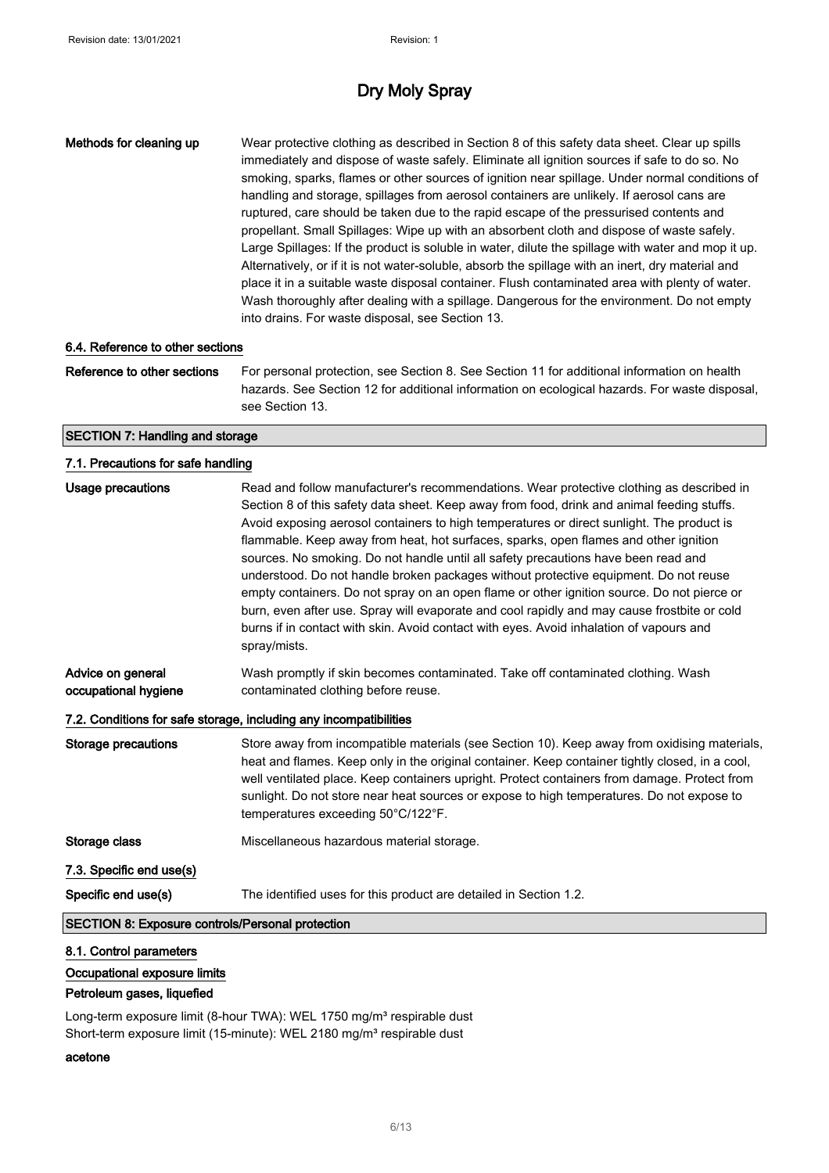Methods for cleaning up Wear protective clothing as described in Section 8 of this safety data sheet. Clear up spills immediately and dispose of waste safely. Eliminate all ignition sources if safe to do so. No smoking, sparks, flames or other sources of ignition near spillage. Under normal conditions of handling and storage, spillages from aerosol containers are unlikely. If aerosol cans are ruptured, care should be taken due to the rapid escape of the pressurised contents and propellant. Small Spillages: Wipe up with an absorbent cloth and dispose of waste safely. Large Spillages: If the product is soluble in water, dilute the spillage with water and mop it up. Alternatively, or if it is not water-soluble, absorb the spillage with an inert, dry material and place it in a suitable waste disposal container. Flush contaminated area with plenty of water. Wash thoroughly after dealing with a spillage. Dangerous for the environment. Do not empty into drains. For waste disposal, see Section 13.

#### 6.4. Reference to other sections

Reference to other sections For personal protection, see Section 8. See Section 11 for additional information on health hazards. See Section 12 for additional information on ecological hazards. For waste disposal, see Section 13.

#### SECTION 7: Handling and storage

| 7.1. Precautions for safe handling                      |                                                                                                                                                                                                                                                                                                                                                                                                                                                                                                                                                                                                                                                                                                                                                                                                                                                                   |
|---------------------------------------------------------|-------------------------------------------------------------------------------------------------------------------------------------------------------------------------------------------------------------------------------------------------------------------------------------------------------------------------------------------------------------------------------------------------------------------------------------------------------------------------------------------------------------------------------------------------------------------------------------------------------------------------------------------------------------------------------------------------------------------------------------------------------------------------------------------------------------------------------------------------------------------|
| <b>Usage precautions</b>                                | Read and follow manufacturer's recommendations. Wear protective clothing as described in<br>Section 8 of this safety data sheet. Keep away from food, drink and animal feeding stuffs.<br>Avoid exposing aerosol containers to high temperatures or direct sunlight. The product is<br>flammable. Keep away from heat, hot surfaces, sparks, open flames and other ignition<br>sources. No smoking. Do not handle until all safety precautions have been read and<br>understood. Do not handle broken packages without protective equipment. Do not reuse<br>empty containers. Do not spray on an open flame or other ignition source. Do not pierce or<br>burn, even after use. Spray will evaporate and cool rapidly and may cause frostbite or cold<br>burns if in contact with skin. Avoid contact with eyes. Avoid inhalation of vapours and<br>spray/mists. |
| Advice on general<br>occupational hygiene               | Wash promptly if skin becomes contaminated. Take off contaminated clothing. Wash<br>contaminated clothing before reuse.                                                                                                                                                                                                                                                                                                                                                                                                                                                                                                                                                                                                                                                                                                                                           |
|                                                         | 7.2. Conditions for safe storage, including any incompatibilities                                                                                                                                                                                                                                                                                                                                                                                                                                                                                                                                                                                                                                                                                                                                                                                                 |
| <b>Storage precautions</b>                              | Store away from incompatible materials (see Section 10). Keep away from oxidising materials,<br>heat and flames. Keep only in the original container. Keep container tightly closed, in a cool,<br>well ventilated place. Keep containers upright. Protect containers from damage. Protect from<br>sunlight. Do not store near heat sources or expose to high temperatures. Do not expose to<br>temperatures exceeding 50°C/122°F.                                                                                                                                                                                                                                                                                                                                                                                                                                |
| Storage class                                           | Miscellaneous hazardous material storage.                                                                                                                                                                                                                                                                                                                                                                                                                                                                                                                                                                                                                                                                                                                                                                                                                         |
| 7.3. Specific end use(s)                                |                                                                                                                                                                                                                                                                                                                                                                                                                                                                                                                                                                                                                                                                                                                                                                                                                                                                   |
| Specific end use(s)                                     | The identified uses for this product are detailed in Section 1.2.                                                                                                                                                                                                                                                                                                                                                                                                                                                                                                                                                                                                                                                                                                                                                                                                 |
| <b>SECTION 8: Exposure controls/Personal protection</b> |                                                                                                                                                                                                                                                                                                                                                                                                                                                                                                                                                                                                                                                                                                                                                                                                                                                                   |

#### 8.1. Control parameters

#### Occupational exposure limits

#### Petroleum gases, liquefied

Long-term exposure limit (8-hour TWA): WEL 1750 mg/m<sup>3</sup> respirable dust Short-term exposure limit (15-minute): WEL 2180 mg/m<sup>3</sup> respirable dust

#### acetone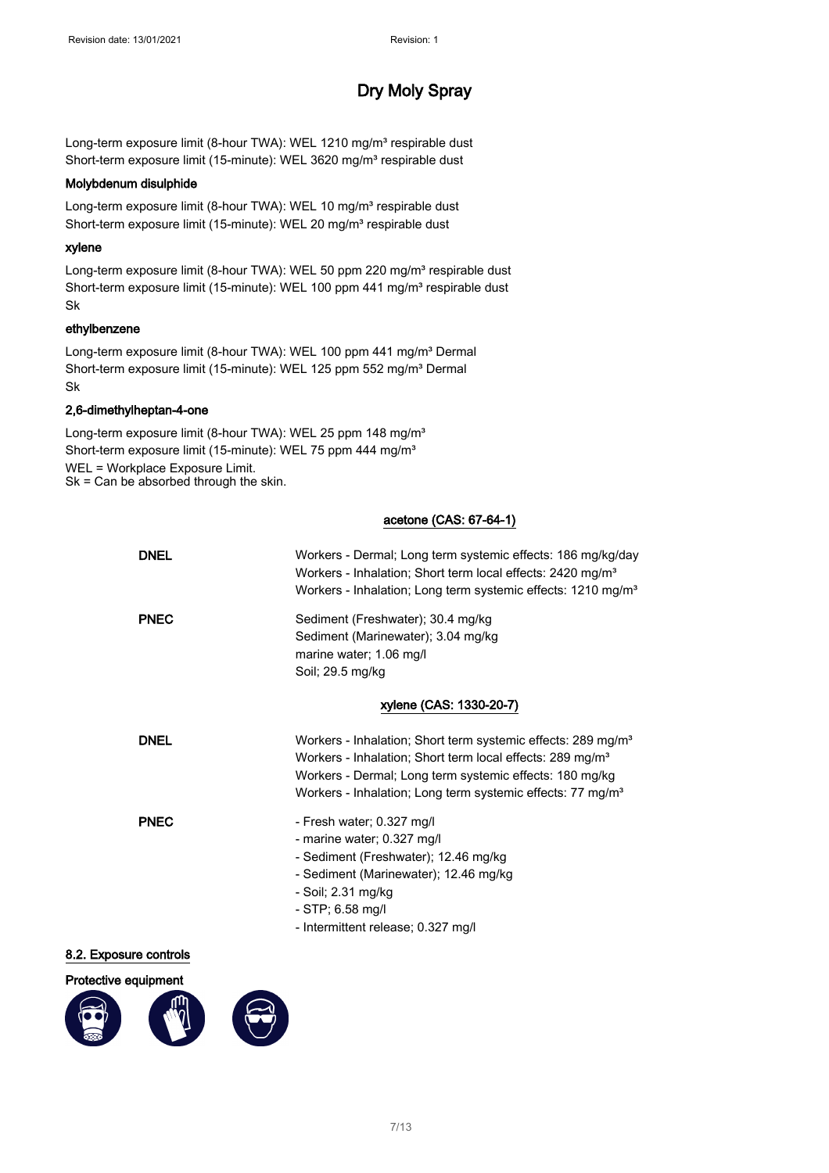Long-term exposure limit (8-hour TWA): WEL 1210 mg/m<sup>3</sup> respirable dust Short-term exposure limit (15-minute): WEL 3620 mg/m<sup>3</sup> respirable dust

#### Molybdenum disulphide

Long-term exposure limit (8-hour TWA): WEL 10 mg/m<sup>3</sup> respirable dust Short-term exposure limit (15-minute): WEL 20 mg/m<sup>3</sup> respirable dust

#### xylene

Long-term exposure limit (8-hour TWA): WEL 50 ppm 220 mg/m<sup>3</sup> respirable dust Short-term exposure limit (15-minute): WEL 100 ppm 441 mg/m<sup>3</sup> respirable dust Sk

#### ethylbenzene

Long-term exposure limit (8-hour TWA): WEL 100 ppm 441 mg/m<sup>3</sup> Dermal Short-term exposure limit (15-minute): WEL 125 ppm 552 mg/m<sup>3</sup> Dermal Sk

#### 2,6-dimethylheptan-4-one

Long-term exposure limit (8-hour TWA): WEL 25 ppm 148 mg/m<sup>3</sup> Short-term exposure limit (15-minute): WEL 75 ppm 444 mg/m<sup>3</sup> WEL = Workplace Exposure Limit. Sk = Can be absorbed through the skin.

#### acetone (CAS: 67-64-1)

| <b>DNEL</b> | Workers - Dermal; Long term systemic effects: 186 mg/kg/day<br>Workers - Inhalation; Short term local effects: 2420 mg/m <sup>3</sup><br>Workers - Inhalation; Long term systemic effects: 1210 mg/m <sup>3</sup>                                                                      |  |
|-------------|----------------------------------------------------------------------------------------------------------------------------------------------------------------------------------------------------------------------------------------------------------------------------------------|--|
| <b>PNEC</b> | Sediment (Freshwater); 30.4 mg/kg<br>Sediment (Marinewater); 3.04 mg/kg<br>marine water; 1.06 mg/l<br>Soil; 29.5 mg/kg                                                                                                                                                                 |  |
|             | xylene (CAS: 1330-20-7)                                                                                                                                                                                                                                                                |  |
| <b>DNEL</b> | Workers - Inhalation; Short term systemic effects: 289 mg/m <sup>3</sup><br>Workers - Inhalation; Short term local effects: 289 mg/m <sup>3</sup><br>Workers - Dermal; Long term systemic effects: 180 mg/kg<br>Workers - Inhalation; Long term systemic effects: 77 mg/m <sup>3</sup> |  |
| <b>PNEC</b> | - Fresh water; 0.327 mg/l<br>- marine water; 0.327 mg/l<br>- Sediment (Freshwater); 12.46 mg/kg<br>- Sediment (Marinewater); 12.46 mg/kg<br>- Soil; 2.31 mg/kg<br>$-$ STP; 6.58 mg/l<br>- Intermittent release; 0.327 mg/l                                                             |  |
| ra controle |                                                                                                                                                                                                                                                                                        |  |

#### 8.2. Exposure controls





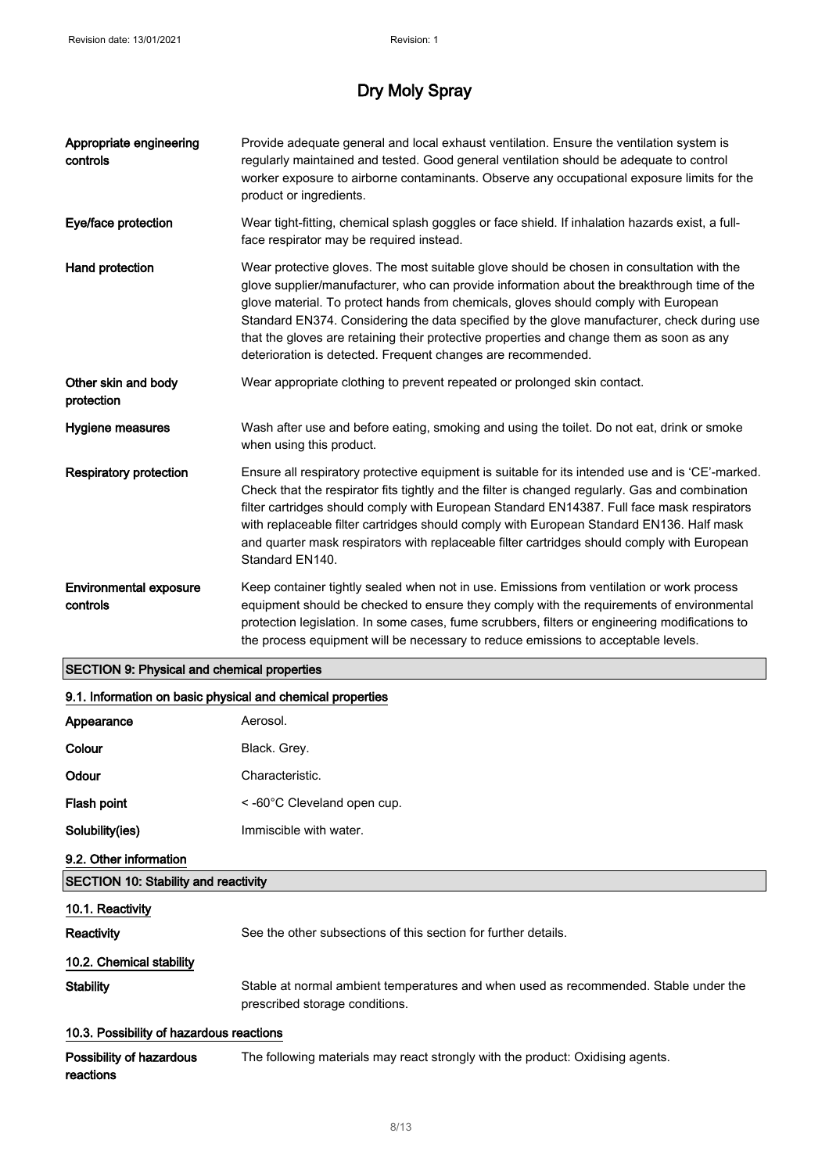| Appropriate engineering<br>controls         | Provide adequate general and local exhaust ventilation. Ensure the ventilation system is<br>regularly maintained and tested. Good general ventilation should be adequate to control<br>worker exposure to airborne contaminants. Observe any occupational exposure limits for the<br>product or ingredients.                                                                                                                                                                                                                              |  |  |  |
|---------------------------------------------|-------------------------------------------------------------------------------------------------------------------------------------------------------------------------------------------------------------------------------------------------------------------------------------------------------------------------------------------------------------------------------------------------------------------------------------------------------------------------------------------------------------------------------------------|--|--|--|
| Eye/face protection                         | Wear tight-fitting, chemical splash goggles or face shield. If inhalation hazards exist, a full-<br>face respirator may be required instead.                                                                                                                                                                                                                                                                                                                                                                                              |  |  |  |
| Hand protection                             | Wear protective gloves. The most suitable glove should be chosen in consultation with the<br>glove supplier/manufacturer, who can provide information about the breakthrough time of the<br>glove material. To protect hands from chemicals, gloves should comply with European<br>Standard EN374. Considering the data specified by the glove manufacturer, check during use<br>that the gloves are retaining their protective properties and change them as soon as any<br>deterioration is detected. Frequent changes are recommended. |  |  |  |
| Other skin and body<br>protection           | Wear appropriate clothing to prevent repeated or prolonged skin contact.                                                                                                                                                                                                                                                                                                                                                                                                                                                                  |  |  |  |
| Hygiene measures                            | Wash after use and before eating, smoking and using the toilet. Do not eat, drink or smoke<br>when using this product.                                                                                                                                                                                                                                                                                                                                                                                                                    |  |  |  |
| Respiratory protection                      | Ensure all respiratory protective equipment is suitable for its intended use and is 'CE'-marked.<br>Check that the respirator fits tightly and the filter is changed regularly. Gas and combination<br>filter cartridges should comply with European Standard EN14387. Full face mask respirators<br>with replaceable filter cartridges should comply with European Standard EN136. Half mask<br>and quarter mask respirators with replaceable filter cartridges should comply with European<br>Standard EN140.                           |  |  |  |
| <b>Environmental exposure</b><br>controls   | Keep container tightly sealed when not in use. Emissions from ventilation or work process<br>equipment should be checked to ensure they comply with the requirements of environmental<br>protection legislation. In some cases, fume scrubbers, filters or engineering modifications to<br>the process equipment will be necessary to reduce emissions to acceptable levels.                                                                                                                                                              |  |  |  |
| SECTION 9: Physical and chemical properties |                                                                                                                                                                                                                                                                                                                                                                                                                                                                                                                                           |  |  |  |
|                                             | 9.1. Information on basic physical and chemical properties                                                                                                                                                                                                                                                                                                                                                                                                                                                                                |  |  |  |
| Appearance                                  | Aerosol.                                                                                                                                                                                                                                                                                                                                                                                                                                                                                                                                  |  |  |  |
| Colour                                      | Black. Grey.                                                                                                                                                                                                                                                                                                                                                                                                                                                                                                                              |  |  |  |
| Odour                                       | Characteristic.                                                                                                                                                                                                                                                                                                                                                                                                                                                                                                                           |  |  |  |
| Flash point                                 | < -60°C Cleveland open cup.                                                                                                                                                                                                                                                                                                                                                                                                                                                                                                               |  |  |  |
| Solubility(ies)                             | Immiscible with water.                                                                                                                                                                                                                                                                                                                                                                                                                                                                                                                    |  |  |  |
|                                             |                                                                                                                                                                                                                                                                                                                                                                                                                                                                                                                                           |  |  |  |

9.2. Other information

| <b>SECTION 10: Stability and reactivity</b> |  |
|---------------------------------------------|--|
|                                             |  |

| 10.1. Reactivity         |                                                                                                                        |
|--------------------------|------------------------------------------------------------------------------------------------------------------------|
| Reactivity               | See the other subsections of this section for further details.                                                         |
| 10.2. Chemical stability |                                                                                                                        |
| <b>Stability</b>         | Stable at normal ambient temperatures and when used as recommended. Stable under the<br>prescribed storage conditions. |
|                          |                                                                                                                        |

### 10.3. Possibility of hazardous reactions

| Possibility of hazardous | The following materials may react strongly with the product: Oxidising agents. |
|--------------------------|--------------------------------------------------------------------------------|
| reactions                |                                                                                |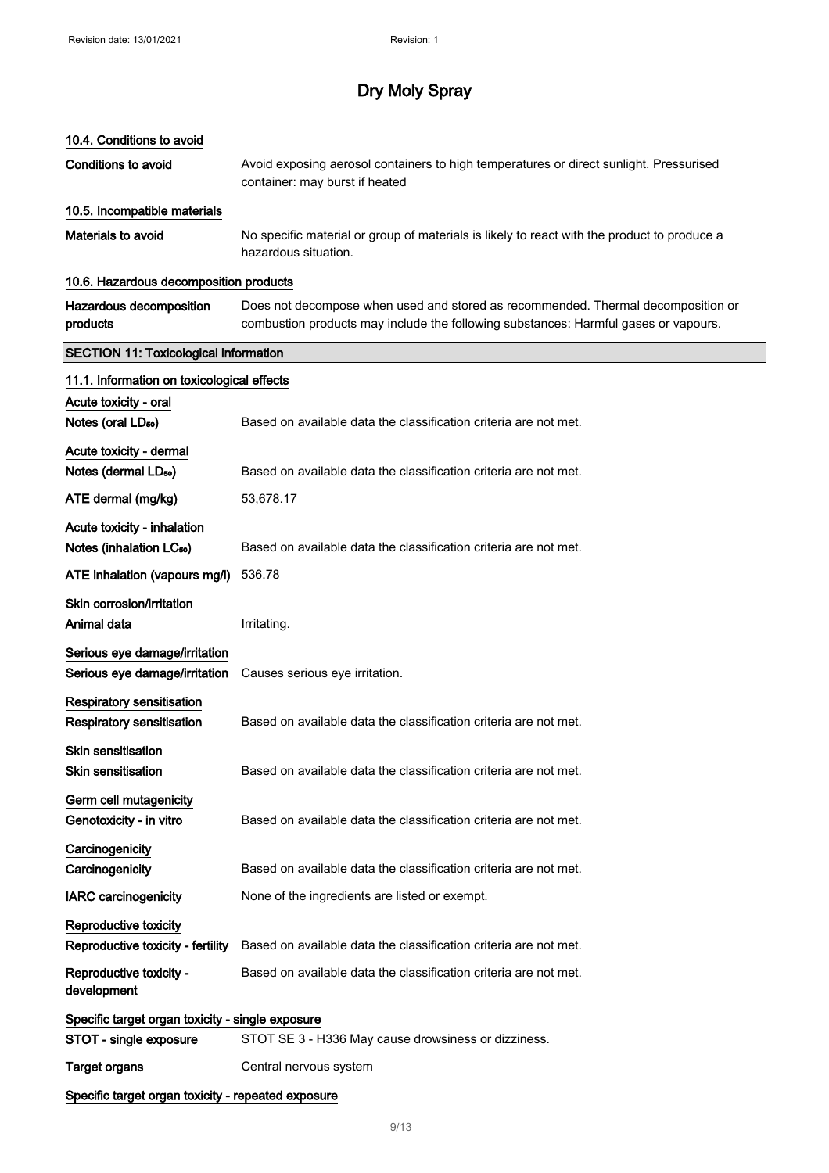### 10.4. Conditions to avoid

| Conditions to avoid                                                  | Avoid exposing aerosol containers to high temperatures or direct sunlight. Pressurised<br>container: may burst if heated                                                |
|----------------------------------------------------------------------|-------------------------------------------------------------------------------------------------------------------------------------------------------------------------|
| 10.5. Incompatible materials                                         |                                                                                                                                                                         |
| Materials to avoid                                                   | No specific material or group of materials is likely to react with the product to produce a<br>hazardous situation.                                                     |
| 10.6. Hazardous decomposition products                               |                                                                                                                                                                         |
| Hazardous decomposition<br>products                                  | Does not decompose when used and stored as recommended. Thermal decomposition or<br>combustion products may include the following substances: Harmful gases or vapours. |
| <b>SECTION 11: Toxicological information</b>                         |                                                                                                                                                                         |
| 11.1. Information on toxicological effects                           |                                                                                                                                                                         |
| Acute toxicity - oral<br>Notes (oral LD <sub>50</sub> )              | Based on available data the classification criteria are not met.                                                                                                        |
| Acute toxicity - dermal<br>Notes (dermal LD <sub>50</sub> )          | Based on available data the classification criteria are not met.                                                                                                        |
| ATE dermal (mg/kg)                                                   | 53,678.17                                                                                                                                                               |
| Acute toxicity - inhalation<br>Notes (inhalation LC <sub>50</sub> )  | Based on available data the classification criteria are not met.                                                                                                        |
| ATE inhalation (vapours mg/l)                                        | 536.78                                                                                                                                                                  |
| Skin corrosion/irritation<br>Animal data                             | Irritating.                                                                                                                                                             |
| Serious eye damage/irritation<br>Serious eye damage/irritation       | Causes serious eye irritation.                                                                                                                                          |
| <b>Respiratory sensitisation</b><br><b>Respiratory sensitisation</b> | Based on available data the classification criteria are not met.                                                                                                        |
| <b>Skin sensitisation</b><br><b>Skin sensitisation</b>               | Based on available data the classification criteria are not met.                                                                                                        |
| Germ cell mutagenicity<br>Genotoxicity - in vitro                    | Based on available data the classification criteria are not met.                                                                                                        |
| Carcinogenicity<br>Carcinogenicity                                   | Based on available data the classification criteria are not met.                                                                                                        |
| <b>IARC</b> carcinogenicity                                          | None of the ingredients are listed or exempt.                                                                                                                           |
| Reproductive toxicity<br>Reproductive toxicity - fertility           | Based on available data the classification criteria are not met.                                                                                                        |
| Reproductive toxicity -<br>development                               | Based on available data the classification criteria are not met.                                                                                                        |
| Specific target organ toxicity - single exposure                     |                                                                                                                                                                         |
| STOT - single exposure                                               | STOT SE 3 - H336 May cause drowsiness or dizziness.                                                                                                                     |
| <b>Target organs</b>                                                 | Central nervous system                                                                                                                                                  |
| Specific target organ toxicity - repeated exposure                   |                                                                                                                                                                         |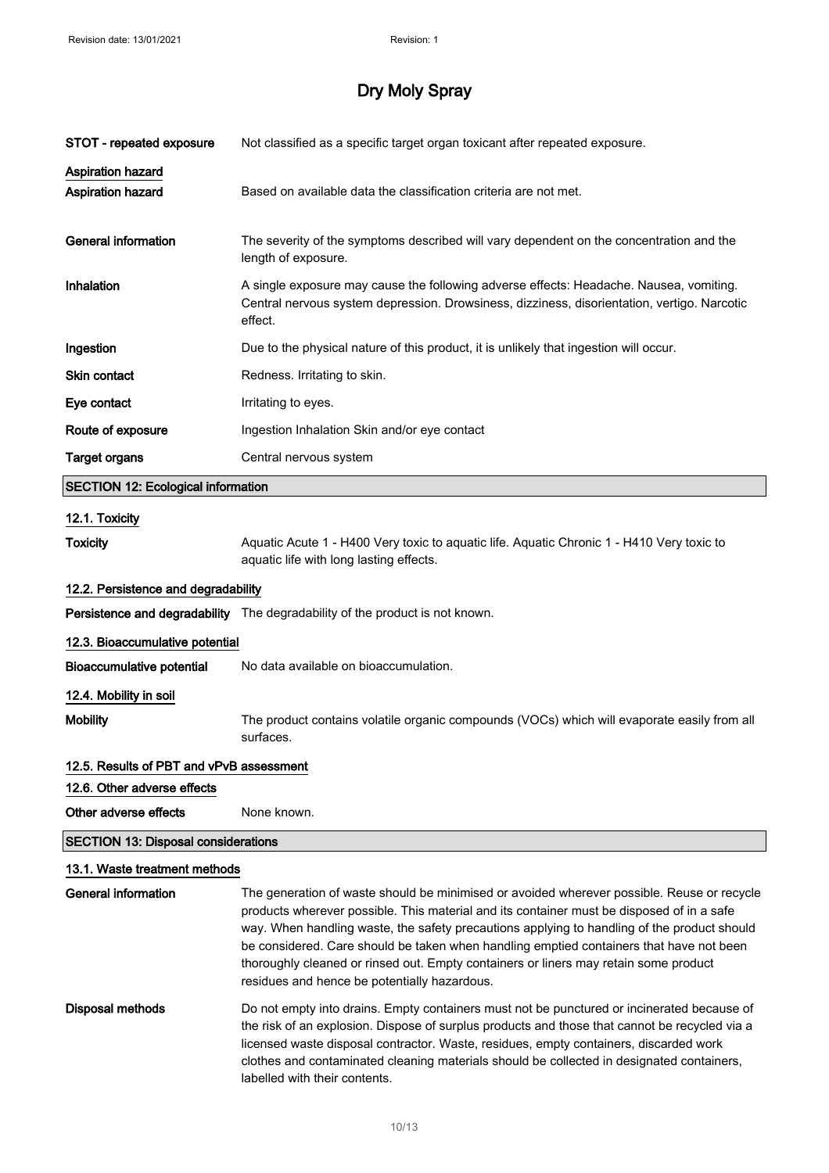| STOT - repeated exposure                      | Not classified as a specific target organ toxicant after repeated exposure.                                                                                                                                                                                                                                                                                                                                                                                                                                               |
|-----------------------------------------------|---------------------------------------------------------------------------------------------------------------------------------------------------------------------------------------------------------------------------------------------------------------------------------------------------------------------------------------------------------------------------------------------------------------------------------------------------------------------------------------------------------------------------|
| <b>Aspiration hazard</b><br>Aspiration hazard | Based on available data the classification criteria are not met.                                                                                                                                                                                                                                                                                                                                                                                                                                                          |
| <b>General information</b>                    | The severity of the symptoms described will vary dependent on the concentration and the<br>length of exposure.                                                                                                                                                                                                                                                                                                                                                                                                            |
| Inhalation                                    | A single exposure may cause the following adverse effects: Headache. Nausea, vomiting.<br>Central nervous system depression. Drowsiness, dizziness, disorientation, vertigo. Narcotic<br>effect.                                                                                                                                                                                                                                                                                                                          |
| Ingestion                                     | Due to the physical nature of this product, it is unlikely that ingestion will occur.                                                                                                                                                                                                                                                                                                                                                                                                                                     |
| <b>Skin contact</b>                           | Redness. Irritating to skin.                                                                                                                                                                                                                                                                                                                                                                                                                                                                                              |
| Eye contact                                   | Irritating to eyes.                                                                                                                                                                                                                                                                                                                                                                                                                                                                                                       |
| Route of exposure                             | Ingestion Inhalation Skin and/or eye contact                                                                                                                                                                                                                                                                                                                                                                                                                                                                              |
| <b>Target organs</b>                          | Central nervous system                                                                                                                                                                                                                                                                                                                                                                                                                                                                                                    |
| <b>SECTION 12: Ecological information</b>     |                                                                                                                                                                                                                                                                                                                                                                                                                                                                                                                           |
| 12.1. Toxicity                                |                                                                                                                                                                                                                                                                                                                                                                                                                                                                                                                           |
| <b>Toxicity</b>                               | Aquatic Acute 1 - H400 Very toxic to aquatic life. Aquatic Chronic 1 - H410 Very toxic to<br>aquatic life with long lasting effects.                                                                                                                                                                                                                                                                                                                                                                                      |
| 12.2. Persistence and degradability           |                                                                                                                                                                                                                                                                                                                                                                                                                                                                                                                           |
|                                               | Persistence and degradability The degradability of the product is not known.                                                                                                                                                                                                                                                                                                                                                                                                                                              |
| 12.3. Bioaccumulative potential               |                                                                                                                                                                                                                                                                                                                                                                                                                                                                                                                           |
| <b>Bioaccumulative potential</b>              | No data available on bioaccumulation.                                                                                                                                                                                                                                                                                                                                                                                                                                                                                     |
| 12.4. Mobility in soil                        |                                                                                                                                                                                                                                                                                                                                                                                                                                                                                                                           |
| <b>Mobility</b>                               | The product contains volatile organic compounds (VOCs) which will evaporate easily from all<br>surfaces.                                                                                                                                                                                                                                                                                                                                                                                                                  |
| 12.5. Results of PBT and vPvB assessment      |                                                                                                                                                                                                                                                                                                                                                                                                                                                                                                                           |
| 12.6. Other adverse effects                   |                                                                                                                                                                                                                                                                                                                                                                                                                                                                                                                           |
| Other adverse effects                         | None known.                                                                                                                                                                                                                                                                                                                                                                                                                                                                                                               |
| <b>SECTION 13: Disposal considerations</b>    |                                                                                                                                                                                                                                                                                                                                                                                                                                                                                                                           |
| 13.1. Waste treatment methods                 |                                                                                                                                                                                                                                                                                                                                                                                                                                                                                                                           |
| <b>General information</b>                    | The generation of waste should be minimised or avoided wherever possible. Reuse or recycle<br>products wherever possible. This material and its container must be disposed of in a safe<br>way. When handling waste, the safety precautions applying to handling of the product should<br>be considered. Care should be taken when handling emptied containers that have not been<br>thoroughly cleaned or rinsed out. Empty containers or liners may retain some product<br>residues and hence be potentially hazardous. |
| <b>Disposal methods</b>                       | Do not empty into drains. Empty containers must not be punctured or incinerated because of<br>the risk of an explosion. Dispose of surplus products and those that cannot be recycled via a<br>licensed waste disposal contractor. Waste, residues, empty containers, discarded work<br>clothes and contaminated cleaning materials should be collected in designated containers,                                                                                                                                         |

labelled with their contents.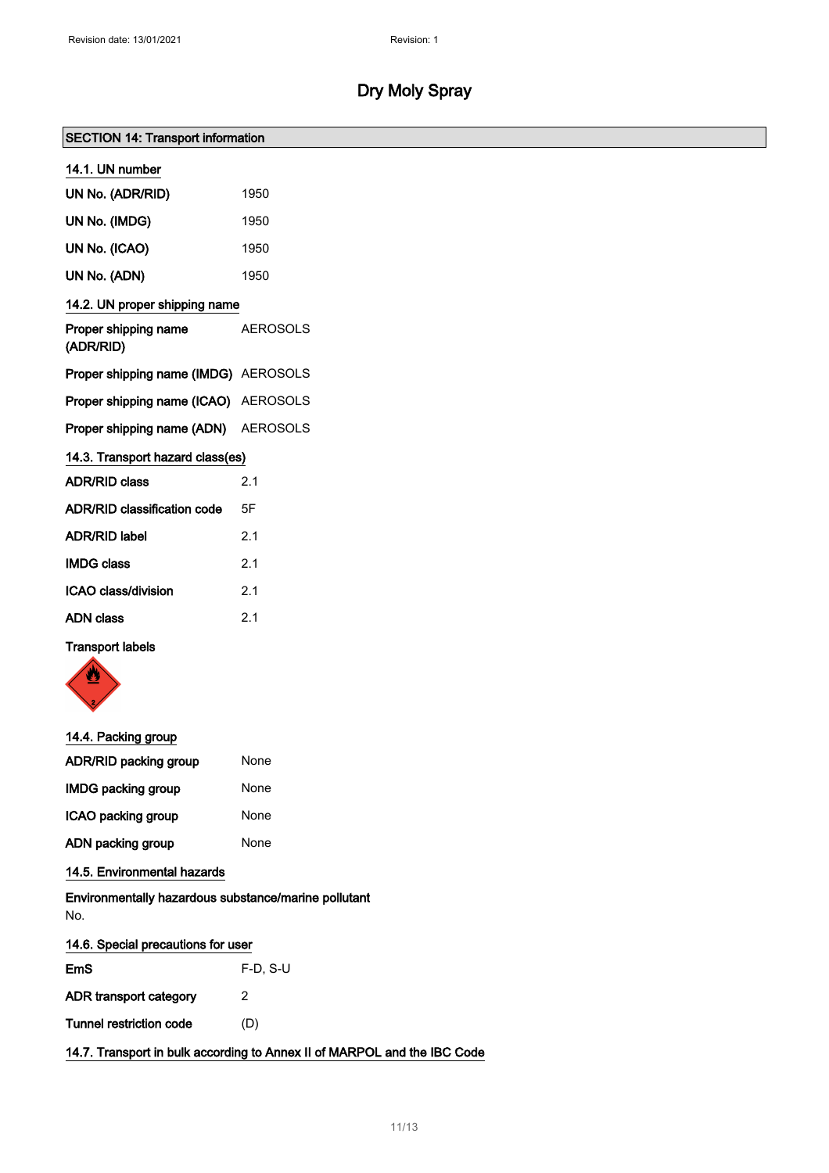#### SECTION 14: Transport information

| UN No. (ADR/RID)                     | 1950            |
|--------------------------------------|-----------------|
| UN No. (IMDG)                        | 1950            |
| UN No. (ICAO)                        | 1950            |
| UN No. (ADN)                         | 1950            |
| 14.2. UN proper shipping name        |                 |
| Proper shipping name<br>(ADR/RID)    | <b>AEROSOLS</b> |
| Proper shipping name (IMDG) AEROSOLS |                 |
| Proper shipping name (ICAO) AEROSOLS |                 |
| Proper shipping name (ADN) AEROSOLS  |                 |
| 14.3. Transport hazard class(es)     |                 |
| <b>ADR/RID class</b>                 | 2.1             |
| ADR/RID classification code          | 5F              |
| <b>ADR/RID label</b>                 | 2.1             |
| <b>IMDG class</b>                    | 2.1             |
| <b>ICAO class/division</b>           | 2.1             |
| <b>ADN class</b>                     | 2.1             |
|                                      |                 |

#### Transport labels



#### 14.4. Packing group

| <b>ADR/RID packing group</b> | None |
|------------------------------|------|
| <b>IMDG packing group</b>    | None |
| ICAO packing group           | None |
| ADN packing group            | None |

#### 14.5. Environmental hazards

| Environmentally hazardous substance/marine pollutant |  |
|------------------------------------------------------|--|
| No.                                                  |  |

| 14.6. Special precautions for user |            |
|------------------------------------|------------|
| <b>EmS</b>                         | $F-D. S-U$ |
| ADR transport category             | 2          |
| Tunnel restriction code            | (D)        |

14.7. Transport in bulk according to Annex II of MARPOL and the IBC Code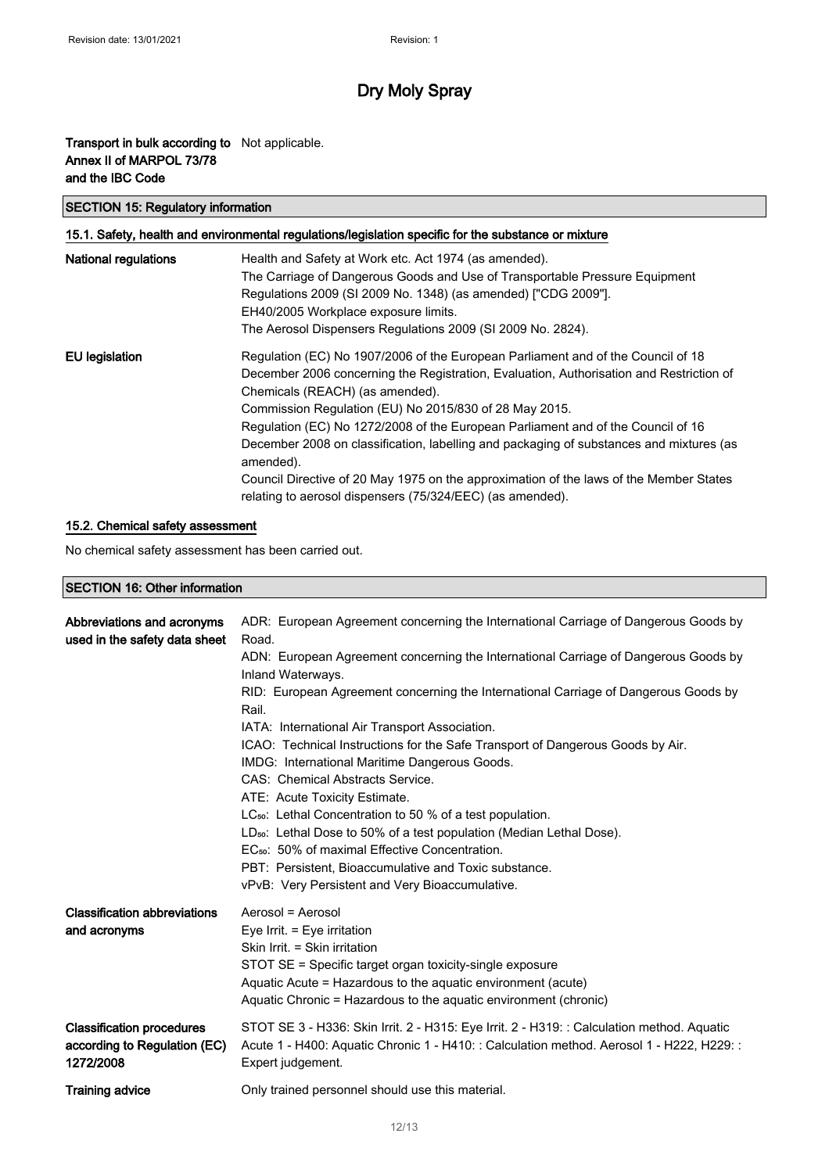#### Transport in bulk according to Not applicable. Annex II of MARPOL 73/78 and the IBC Code

#### SECTION 15: Regulatory information

| 15.1. Safety, health and environmental regulations/legislation specific for the substance or mixture |                                                                                                                                                                                                                                                                                                                                                                                                                                                                                                                                                                                                                             |
|------------------------------------------------------------------------------------------------------|-----------------------------------------------------------------------------------------------------------------------------------------------------------------------------------------------------------------------------------------------------------------------------------------------------------------------------------------------------------------------------------------------------------------------------------------------------------------------------------------------------------------------------------------------------------------------------------------------------------------------------|
| National regulations                                                                                 | Health and Safety at Work etc. Act 1974 (as amended).<br>The Carriage of Dangerous Goods and Use of Transportable Pressure Equipment<br>Regulations 2009 (SI 2009 No. 1348) (as amended) ["CDG 2009"].<br>EH40/2005 Workplace exposure limits.<br>The Aerosol Dispensers Regulations 2009 (SI 2009 No. 2824).                                                                                                                                                                                                                                                                                                               |
| <b>EU</b> legislation                                                                                | Regulation (EC) No 1907/2006 of the European Parliament and of the Council of 18<br>December 2006 concerning the Registration, Evaluation, Authorisation and Restriction of<br>Chemicals (REACH) (as amended).<br>Commission Regulation (EU) No 2015/830 of 28 May 2015.<br>Regulation (EC) No 1272/2008 of the European Parliament and of the Council of 16<br>December 2008 on classification, labelling and packaging of substances and mixtures (as<br>amended).<br>Council Directive of 20 May 1975 on the approximation of the laws of the Member States<br>relating to aerosol dispensers (75/324/EEC) (as amended). |

#### 15.2. Chemical safety assessment

No chemical safety assessment has been carried out.

#### SECTION 16: Other information

| Abbreviations and acronyms<br>used in the safety data sheet                   | ADR: European Agreement concerning the International Carriage of Dangerous Goods by<br>Road.<br>ADN: European Agreement concerning the International Carriage of Dangerous Goods by<br>Inland Waterways.<br>RID: European Agreement concerning the International Carriage of Dangerous Goods by<br>Rail.<br>IATA: International Air Transport Association.<br>ICAO: Technical Instructions for the Safe Transport of Dangerous Goods by Air.<br>IMDG: International Maritime Dangerous Goods.<br>CAS: Chemical Abstracts Service.<br>ATE: Acute Toxicity Estimate.<br>LC <sub>50</sub> : Lethal Concentration to 50 % of a test population.<br>LD <sub>50</sub> : Lethal Dose to 50% of a test population (Median Lethal Dose).<br>EC <sub>50</sub> : 50% of maximal Effective Concentration.<br>PBT: Persistent. Bioaccumulative and Toxic substance.<br>vPvB: Very Persistent and Very Bioaccumulative. |
|-------------------------------------------------------------------------------|-----------------------------------------------------------------------------------------------------------------------------------------------------------------------------------------------------------------------------------------------------------------------------------------------------------------------------------------------------------------------------------------------------------------------------------------------------------------------------------------------------------------------------------------------------------------------------------------------------------------------------------------------------------------------------------------------------------------------------------------------------------------------------------------------------------------------------------------------------------------------------------------------------------|
| <b>Classification abbreviations</b><br>and acronyms                           | Aerosol = Aerosol<br>Eye Irrit. $=$ Eye irritation<br>Skin Irrit. = Skin irritation<br>STOT SE = Specific target organ toxicity-single exposure<br>Aquatic Acute = Hazardous to the aquatic environment (acute)<br>Aquatic Chronic = Hazardous to the aquatic environment (chronic)                                                                                                                                                                                                                                                                                                                                                                                                                                                                                                                                                                                                                       |
| <b>Classification procedures</b><br>according to Regulation (EC)<br>1272/2008 | STOT SE 3 - H336: Skin Irrit. 2 - H315: Eye Irrit. 2 - H319: : Calculation method. Aquatic<br>Acute 1 - H400: Aquatic Chronic 1 - H410: : Calculation method. Aerosol 1 - H222, H229: :<br>Expert judgement.                                                                                                                                                                                                                                                                                                                                                                                                                                                                                                                                                                                                                                                                                              |
| <b>Training advice</b>                                                        | Only trained personnel should use this material.                                                                                                                                                                                                                                                                                                                                                                                                                                                                                                                                                                                                                                                                                                                                                                                                                                                          |